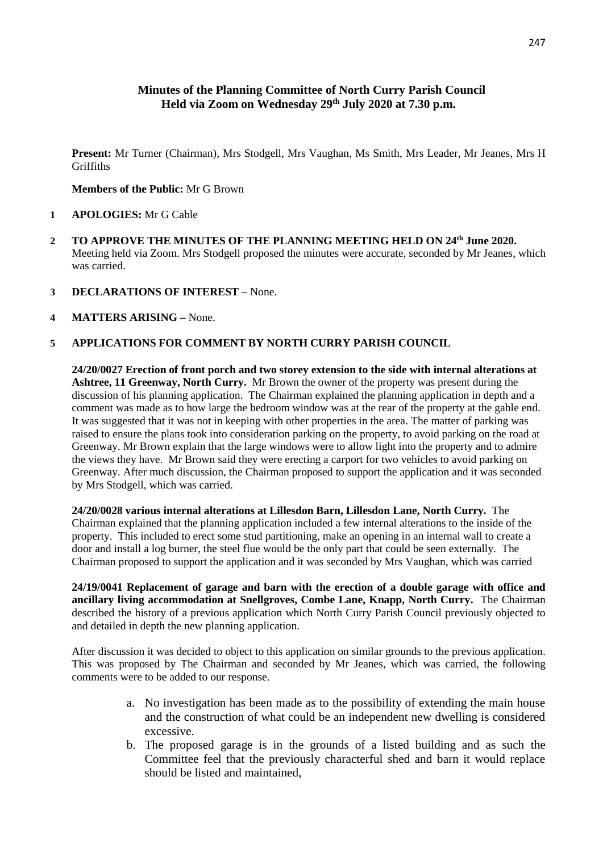# **Minutes of the Planning Committee of North Curry Parish Council Held via Zoom on Wednesday 29th July 2020 at 7.30 p.m.**

**Present:** Mr Turner (Chairman), Mrs Stodgell, Mrs Vaughan, Ms Smith, Mrs Leader, Mr Jeanes, Mrs H **Griffiths** 

#### **Members of the Public:** Mr G Brown

- **1 APOLOGIES:** Mr G Cable
- **2 TO APPROVE THE MINUTES OF THE PLANNING MEETING HELD ON 24th June 2020.** Meeting held via Zoom. Mrs Stodgell proposed the minutes were accurate, seconded by Mr Jeanes, which was carried.
- **3 DECLARATIONS OF INTEREST –** None.
- **4 MATTERS ARISING –** None.

### **5 APPLICATIONS FOR COMMENT BY NORTH CURRY PARISH COUNCIL**

**24/20/0027 Erection of front porch and two storey extension to the side with internal alterations at Ashtree, 11 Greenway, North Curry.** Mr Brown the owner of the property was present during the discussion of his planning application. The Chairman explained the planning application in depth and a comment was made as to how large the bedroom window was at the rear of the property at the gable end. It was suggested that it was not in keeping with other properties in the area. The matter of parking was raised to ensure the plans took into consideration parking on the property, to avoid parking on the road at Greenway. Mr Brown explain that the large windows were to allow light into the property and to admire the views they have. Mr Brown said they were erecting a carport for two vehicles to avoid parking on Greenway. After much discussion, the Chairman proposed to support the application and it was seconded by Mrs Stodgell, which was carried.

**24/20/0028 various internal alterations at Lillesdon Barn, Lillesdon Lane, North Curry.** The Chairman explained that the planning application included a few internal alterations to the inside of the property. This included to erect some stud partitioning, make an opening in an internal wall to create a door and install a log burner, the steel flue would be the only part that could be seen externally. The Chairman proposed to support the application and it was seconded by Mrs Vaughan, which was carried

**24/19/0041 Replacement of garage and barn with the erection of a double garage with office and ancillary living accommodation at Snellgroves, Combe Lane, Knapp, North Curry.** The Chairman described the history of a previous application which North Curry Parish Council previously objected to and detailed in depth the new planning application.

After discussion it was decided to object to this application on similar grounds to the previous application. This was proposed by The Chairman and seconded by Mr Jeanes, which was carried, the following comments were to be added to our response.

- a. No investigation has been made as to the possibility of extending the main house and the construction of what could be an independent new dwelling is considered excessive.
- b. The proposed garage is in the grounds of a listed building and as such the Committee feel that the previously characterful shed and barn it would replace should be listed and maintained,